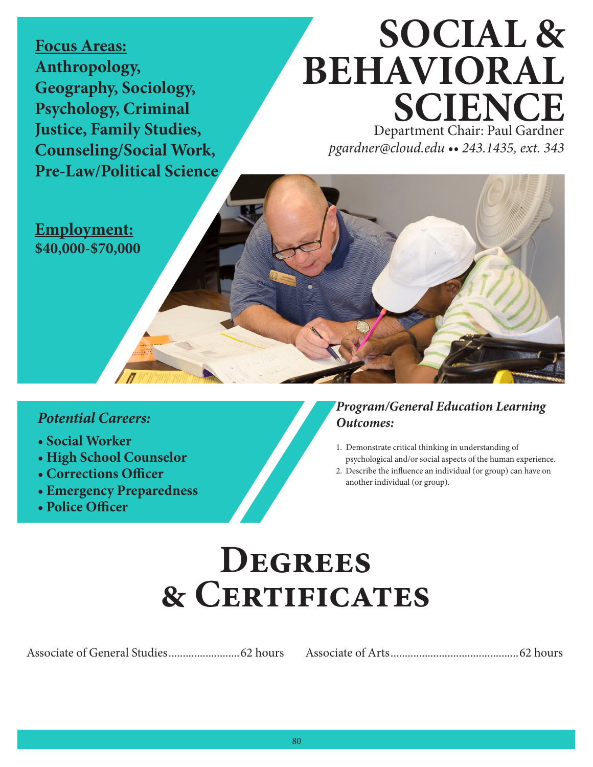**Focus Areas: Anthropology, Geography, Sociology, Psychology, Criminal Justice, Family Studies, Counseling/Social Work, Pre-Law/Political Science**

# **SOCIAL & BEHAVIORAL SCIENCE**

Department Chair: Paul Gardner *pgardner@cloud.edu •• 243.1435, ext. 343*

**Employment: \$40,000-\$70,000**

#### *Potential Careers:*

- **Social Worker**
- **High School Counselor**
- **Corrections O!cer**
- **Emergency Preparedness**
- **Police O!cer**

#### *Program/General Education Learning Outcomes:*

- 1. Demonstrate critical thinking in understanding of psychological and/or social aspects of the human experience.
- 2. Describe the influence an individual (or group) can have on another individual (or group).

## **Degrees & Certificates**

Associate of General Studies.........................62 hours Associate of Arts.............................................62 hours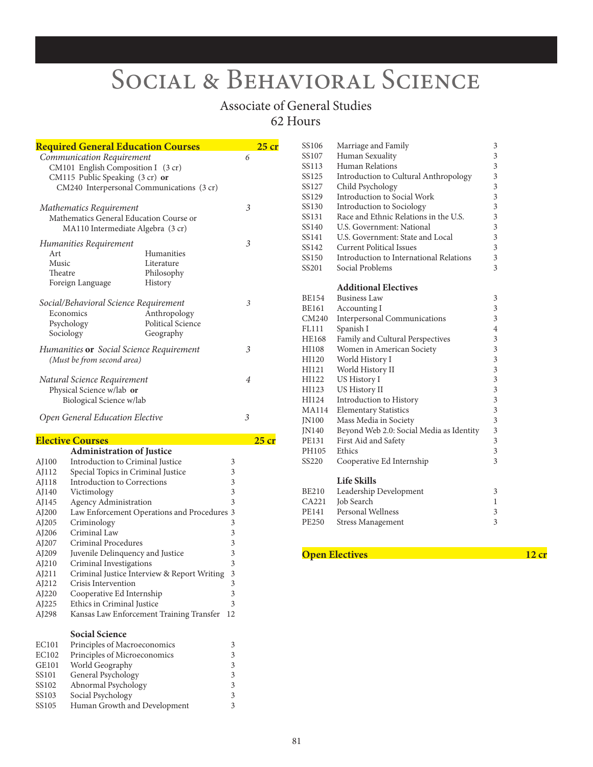## SOCIAL & BEHAVIORAL SCIENCE

#### Associate of General Studies 62 Hours

|                           | <u> Required General Education Courses</u>                                    |                   | $25$ cr        |  |
|---------------------------|-------------------------------------------------------------------------------|-------------------|----------------|--|
| Communication Requirement |                                                                               |                   | 6              |  |
|                           | CM101 English Composition I (3 cr)                                            |                   |                |  |
|                           | CM115 Public Speaking (3 cr) or                                               |                   |                |  |
|                           | CM240 Interpersonal Communications (3 cr)                                     |                   |                |  |
|                           |                                                                               |                   |                |  |
|                           | Mathematics Requirement                                                       |                   | 3              |  |
|                           | Mathematics General Education Course or                                       |                   |                |  |
|                           | MA110 Intermediate Algebra (3 cr)                                             |                   |                |  |
|                           | Humanities Requirement                                                        |                   | 3              |  |
| Art                       | Humanities                                                                    |                   |                |  |
| Music                     | Literature                                                                    |                   |                |  |
| Theatre                   | Philosophy                                                                    |                   |                |  |
|                           | Foreign Language<br>History                                                   |                   |                |  |
|                           | Social/Behavioral Science Requirement                                         |                   | 3              |  |
|                           | Economics                                                                     | Anthropology      |                |  |
|                           | Psychology                                                                    | Political Science |                |  |
|                           | Sociology<br>Geography                                                        |                   |                |  |
|                           |                                                                               |                   | 3              |  |
|                           | Humanities <b>or</b> Social Science Requirement<br>(Must be from second area) |                   |                |  |
|                           |                                                                               |                   |                |  |
|                           | Natural Science Requirement                                                   |                   | $\overline{4}$ |  |
|                           | Physical Science w/lab or                                                     |                   |                |  |
|                           | Biological Science w/lab                                                      |                   |                |  |
|                           | Open General Education Elective                                               |                   | 3              |  |
|                           |                                                                               |                   |                |  |
|                           | <b>Elective Courses</b>                                                       |                   | $25$ cr        |  |
|                           | <b>Administration of Justice</b>                                              |                   |                |  |
| AJ100                     | Introduction to Criminal Justice                                              | 3                 |                |  |
| AJ112                     | Special Topics in Criminal Justice                                            | 3                 |                |  |
| AJ118                     | Introduction to Corrections                                                   | 3                 |                |  |
| AJ140                     | Victimology                                                                   | 3                 |                |  |
| AJ145                     | <b>Agency Administration</b>                                                  | 3                 |                |  |
| AJ200                     | Law Enforcement Operations and Procedures 3                                   |                   |                |  |
| AJ205                     | Criminology                                                                   | 3                 |                |  |
| AJ206                     | Criminal Law                                                                  | 3                 |                |  |
| AJ207                     | Criminal Procedures                                                           | 3                 |                |  |
| AJ209                     | Juvenile Delinquency and Justice                                              | 3                 |                |  |
| AJ210                     | Criminal Investigations                                                       | 3                 |                |  |
| AJ211                     | Criminal Justice Interview & Report Writing                                   | 3                 |                |  |
| AJ212                     | Crisis Intervention                                                           | 3                 |                |  |
| AJ220                     | Cooperative Ed Internship                                                     | 3                 |                |  |
| AJ225                     | Ethics in Criminal Justice                                                    | 3                 |                |  |
| AJ298                     | Kansas Law Enforcement Training Transfer                                      | 12                |                |  |
|                           | <b>Social Science</b>                                                         |                   |                |  |
| EC101                     | Principles of Macroeconomics                                                  | 3                 |                |  |
|                           |                                                                               |                   |                |  |

| EC101 | Principles of Macroeconomics | 3 |
|-------|------------------------------|---|
| EC102 | Principles of Microeconomics | 3 |
| GE101 | World Geography              | 3 |
| SS101 | General Psychology           | 3 |
| SS102 | Abnormal Psychology          | 3 |
| SS103 | Social Psychology            | 3 |
| SS105 | Human Growth and Development | 3 |

|                                          | 3                                                                                                                    |
|------------------------------------------|----------------------------------------------------------------------------------------------------------------------|
| Human Sexuality                          | 3                                                                                                                    |
| Human Relations                          | 3                                                                                                                    |
|                                          | 3                                                                                                                    |
|                                          | 3                                                                                                                    |
| Introduction to Social Work              | 3                                                                                                                    |
| <b>Introduction to Sociology</b>         | 3                                                                                                                    |
| Race and Ethnic Relations in the U.S.    | 3                                                                                                                    |
| U.S. Government: National                | 3                                                                                                                    |
| U.S. Government: State and Local         | 3                                                                                                                    |
| <b>Current Political Issues</b>          | 3                                                                                                                    |
| Introduction to International Relations  | 3                                                                                                                    |
| Social Problems                          | 3                                                                                                                    |
| <b>Additional Electives</b>              |                                                                                                                      |
| <b>Business Law</b>                      | 3                                                                                                                    |
| Accounting I                             | 3                                                                                                                    |
| <b>Interpersonal Communications</b>      | 3                                                                                                                    |
| Spanish I                                | $\overline{4}$                                                                                                       |
|                                          | 3                                                                                                                    |
| Women in American Society                | 3                                                                                                                    |
| World History I                          | 3                                                                                                                    |
| World History II                         | 3                                                                                                                    |
| US History I                             | $\overline{\mathbf{3}}$                                                                                              |
| US History II                            | 3                                                                                                                    |
| Introduction to History                  | 3                                                                                                                    |
| <b>Elementary Statistics</b>             | 3                                                                                                                    |
| Mass Media in Society                    | $\overline{\mathbf{3}}$                                                                                              |
| Beyond Web 2.0: Social Media as Identity | 3                                                                                                                    |
| First Aid and Safety                     | $\overline{\mathbf{3}}$                                                                                              |
| Ethics                                   | $\overline{3}$                                                                                                       |
| Cooperative Ed Internship                | 3                                                                                                                    |
| <b>Life Skills</b>                       |                                                                                                                      |
| Leadership Development                   | 3                                                                                                                    |
| Job Search                               | $\mathbf{1}$                                                                                                         |
| <b>Personal Wellness</b>                 | 3                                                                                                                    |
| <b>Stress Management</b>                 | 3                                                                                                                    |
|                                          | Marriage and Family<br>Introduction to Cultural Anthropology<br>Child Psychology<br>Family and Cultural Perspectives |

#### **Open Electives** 12 cr